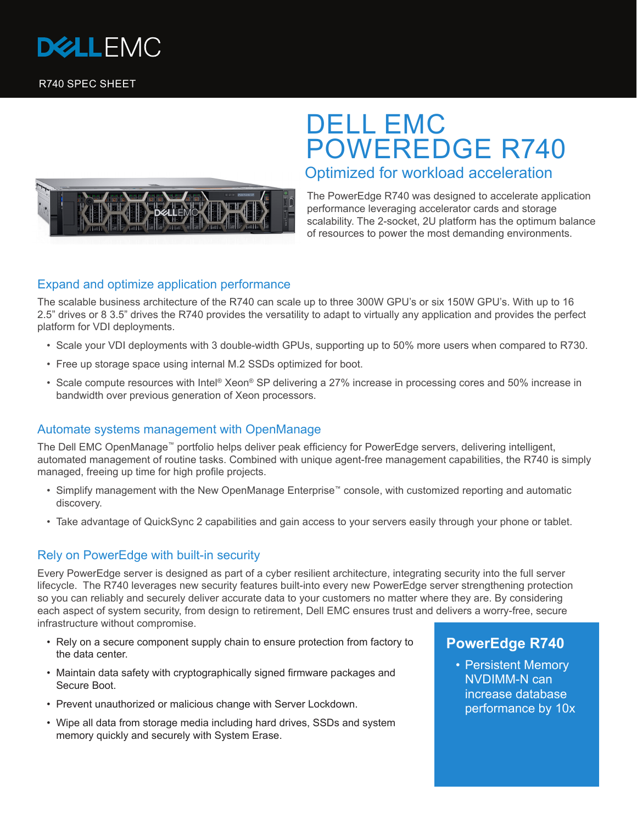

# DELL EMC POWEREDGE R740 Optimized for workload acceleration

The PowerEdge R740 was designed to accelerate application performance leveraging accelerator cards and storage scalability. The 2-socket, 2U platform has the optimum balance of resources to power the most demanding environments.

# Expand and optimize application performance

The scalable business architecture of the R740 can scale up to three 300W GPU's or six 150W GPU's. With up to 16 2.5" drives or 8 3.5" drives the R740 provides the versatility to adapt to virtually any application and provides the perfect platform for VDI deployments.

- Scale your VDI deployments with 3 double-width GPUs, supporting up to 50% more users when compared to R730.
- Free up storage space using internal M.2 SSDs optimized for boot.
- Scale compute resources with Intel® Xeon® SP delivering a 27% increase in processing cores and 50% increase in bandwidth over previous generation of Xeon processors.

## Automate systems management with OpenManage

The Dell EMC OpenManage™ portfolio helps deliver peak efficiency for PowerEdge servers, delivering intelligent, automated management of routine tasks. Combined with unique agent-free management capabilities, the R740 is simply managed, freeing up time for high profile projects.

- Simplify management with the New OpenManage Enterprise™ console, with customized reporting and automatic discovery.
- Take advantage of QuickSync 2 capabilities and gain access to your servers easily through your phone or tablet.

### Rely on PowerEdge with built-in security

Every PowerEdge server is designed as part of a cyber resilient architecture, integrating security into the full server lifecycle. The R740 leverages new security features built-into every new PowerEdge server strengthening protection so you can reliably and securely deliver accurate data to your customers no matter where they are. By considering each aspect of system security, from design to retirement, Dell EMC ensures trust and delivers a worry-free, secure infrastructure without compromise.

- Rely on a secure component supply chain to ensure protection from factory to the data center.
- Maintain data safety with cryptographically signed firmware packages and Secure Boot.
- Prevent unauthorized or malicious change with Server Lockdown.
- Wipe all data from storage media including hard drives, SSDs and system memory quickly and securely with System Erase.

# **PowerEdge R740**

• Persistent Memory NVDIMM-N can increase database performance by 10x